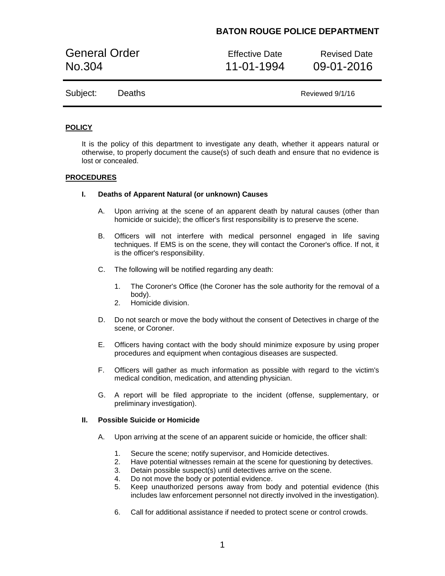# **BATON ROUGE POLICE DEPARTMENT**

General Order **Effective Date** Revised Date No.304 11-01-1994 09-01-2016

Subject: Deaths Reviewed 9/1/16

## **POLICY**

It is the policy of this department to investigate any death, whether it appears natural or otherwise, to properly document the cause(s) of such death and ensure that no evidence is lost or concealed.

### **PROCEDURES**

# **I. Deaths of Apparent Natural (or unknown) Causes**

- A. Upon arriving at the scene of an apparent death by natural causes (other than homicide or suicide); the officer's first responsibility is to preserve the scene.
- B. Officers will not interfere with medical personnel engaged in life saving techniques. If EMS is on the scene, they will contact the Coroner's office. If not, it is the officer's responsibility.
- C. The following will be notified regarding any death:
	- 1. The Coroner's Office (the Coroner has the sole authority for the removal of a body).
	- 2. Homicide division.
- D. Do not search or move the body without the consent of Detectives in charge of the scene, or Coroner.
- E. Officers having contact with the body should minimize exposure by using proper procedures and equipment when contagious diseases are suspected.
- F. Officers will gather as much information as possible with regard to the victim's medical condition, medication, and attending physician.
- G. A report will be filed appropriate to the incident (offense, supplementary, or preliminary investigation).

# **II. Possible Suicide or Homicide**

- A. Upon arriving at the scene of an apparent suicide or homicide, the officer shall:
	- 1. Secure the scene; notify supervisor, and Homicide detectives.
	- 2. Have potential witnesses remain at the scene for questioning by detectives.
	- 3. Detain possible suspect(s) until detectives arrive on the scene.
	- 4. Do not move the body or potential evidence.
	- 5. Keep unauthorized persons away from body and potential evidence (this includes law enforcement personnel not directly involved in the investigation).
	- 6. Call for additional assistance if needed to protect scene or control crowds.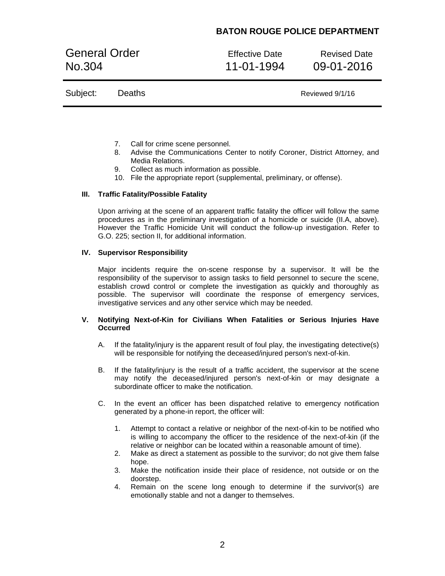# **BATON ROUGE POLICE DEPARTMENT**

General Order **Effective Date** Revised Date No.304 11-01-1994 09-01-2016

|  | Subject: Deaths | Reviewed 9/1/16 |
|--|-----------------|-----------------|
|--|-----------------|-----------------|

- 7. Call for crime scene personnel.
- 8. Advise the Communications Center to notify Coroner, District Attorney, and Media Relations.
- 9. Collect as much information as possible.
- 10. File the appropriate report (supplemental, preliminary, or offense).

#### **III. Traffic Fatality/Possible Fatality**

Upon arriving at the scene of an apparent traffic fatality the officer will follow the same procedures as in the preliminary investigation of a homicide or suicide (II.A, above). However the Traffic Homicide Unit will conduct the follow-up investigation. Refer to G.O. 225; section II, for additional information.

## **IV. Supervisor Responsibility**

Major incidents require the on-scene response by a supervisor. It will be the responsibility of the supervisor to assign tasks to field personnel to secure the scene, establish crowd control or complete the investigation as quickly and thoroughly as possible. The supervisor will coordinate the response of emergency services, investigative services and any other service which may be needed.

### **V. Notifying Next-of-Kin for Civilians When Fatalities or Serious Injuries Have Occurred**

- A. If the fatality/injury is the apparent result of foul play, the investigating detective(s) will be responsible for notifying the deceased/injured person's next-of-kin.
- B. If the fatality/injury is the result of a traffic accident, the supervisor at the scene may notify the deceased/injured person's next-of-kin or may designate a subordinate officer to make the notification.
- C. In the event an officer has been dispatched relative to emergency notification generated by a phone-in report, the officer will:
	- 1. Attempt to contact a relative or neighbor of the next-of-kin to be notified who is willing to accompany the officer to the residence of the next-of-kin (if the relative or neighbor can be located within a reasonable amount of time).
	- 2. Make as direct a statement as possible to the survivor; do not give them false hope.
	- 3. Make the notification inside their place of residence, not outside or on the doorstep.
	- 4. Remain on the scene long enough to determine if the survivor(s) are emotionally stable and not a danger to themselves.